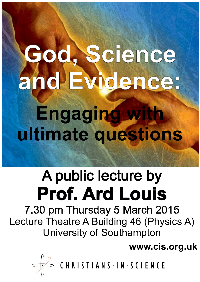## **God, Science and Evidence: Engaging with ultimate questions**

## A public lecture by **Prof. Ard Louis**

7.30 pm Thursday 5 March 2015 Lecture Theatre A Building 46 (Physics A) University of Southampton

**www.cis.org.uk**

CHRISTIANS · IN · SCIENCE